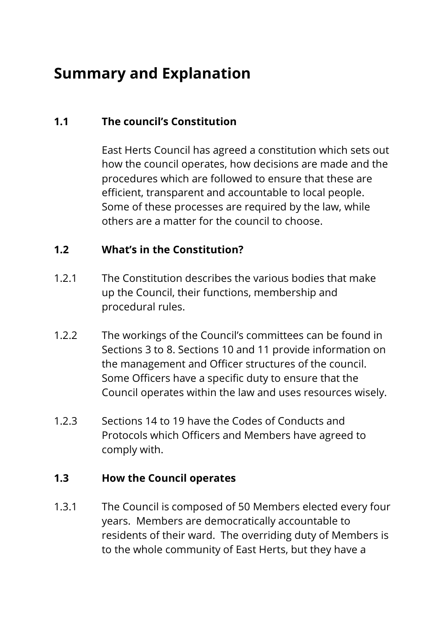# **Summary and Explanation**

## **1.1 The council's Constitution**

East Herts Council has agreed a constitution which sets out how the council operates, how decisions are made and the procedures which are followed to ensure that these are efficient, transparent and accountable to local people. Some of these processes are required by the law, while others are a matter for the council to choose.

#### **1.2 What's in the Constitution?**

- 1.2.1 The Constitution describes the various bodies that make up the Council, their functions, membership and procedural rules.
- 1.2.2 The workings of the Council's committees can be found in Sections 3 to 8. Sections 10 and 11 provide information on the management and Officer structures of the council. Some Officers have a specific duty to ensure that the Council operates within the law and uses resources wisely.
- 1.2.3 Sections 14 to 19 have the Codes of Conducts and Protocols which Officers and Members have agreed to comply with.

#### **1.3 How the Council operates**

1.3.1 The Council is composed of 50 Members elected every four years. Members are democratically accountable to residents of their ward. The overriding duty of Members is to the whole community of East Herts, but they have a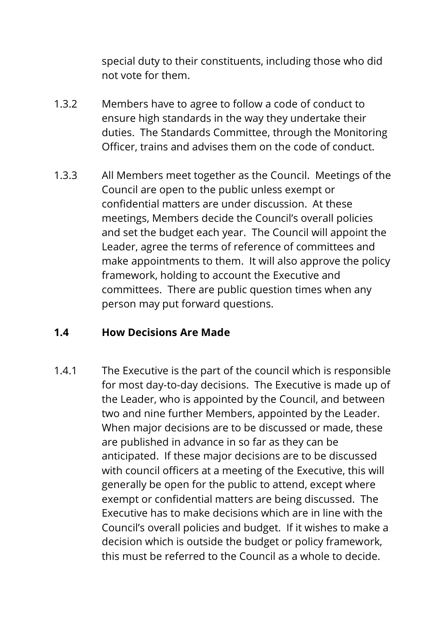special duty to their constituents, including those who did not vote for them.

- 1.3.2 Members have to agree to follow a code of conduct to ensure high standards in the way they undertake their duties. The Standards Committee, through the Monitoring Officer, trains and advises them on the code of conduct.
- 1.3.3 All Members meet together as the Council. Meetings of the Council are open to the public unless exempt or confidential matters are under discussion. At these meetings, Members decide the Council's overall policies and set the budget each year. The Council will appoint the Leader, agree the terms of reference of committees and make appointments to them. It will also approve the policy framework, holding to account the Executive and committees. There are public question times when any person may put forward questions.

#### **1.4 How Decisions Are Made**

1.4.1 The Executive is the part of the council which is responsible for most day-to-day decisions. The Executive is made up of the Leader, who is appointed by the Council, and between two and nine further Members, appointed by the Leader. When major decisions are to be discussed or made, these are published in advance in so far as they can be anticipated. If these major decisions are to be discussed with council officers at a meeting of the Executive, this will generally be open for the public to attend, except where exempt or confidential matters are being discussed. The Executive has to make decisions which are in line with the Council's overall policies and budget. If it wishes to make a decision which is outside the budget or policy framework, this must be referred to the Council as a whole to decide.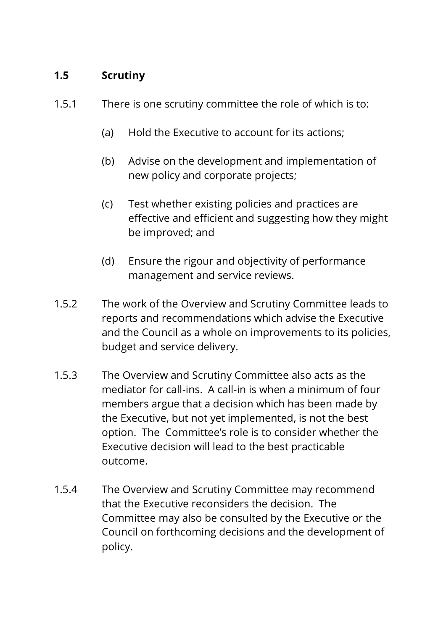### **1.5 Scrutiny**

- 1.5.1 There is one scrutiny committee the role of which is to:
	- (a) Hold the Executive to account for its actions;
	- (b) Advise on the development and implementation of new policy and corporate projects;
	- (c) Test whether existing policies and practices are effective and efficient and suggesting how they might be improved; and
	- (d) Ensure the rigour and objectivity of performance management and service reviews.
- 1.5.2 The work of the Overview and Scrutiny Committee leads to reports and recommendations which advise the Executive and the Council as a whole on improvements to its policies, budget and service delivery.
- 1.5.3 The Overview and Scrutiny Committee also acts as the mediator for call-ins. A call-in is when a minimum of four members argue that a decision which has been made by the Executive, but not yet implemented, is not the best option. The Committee's role is to consider whether the Executive decision will lead to the best practicable outcome.
- 1.5.4 The Overview and Scrutiny Committee may recommend that the Executive reconsiders the decision. The Committee may also be consulted by the Executive or the Council on forthcoming decisions and the development of policy.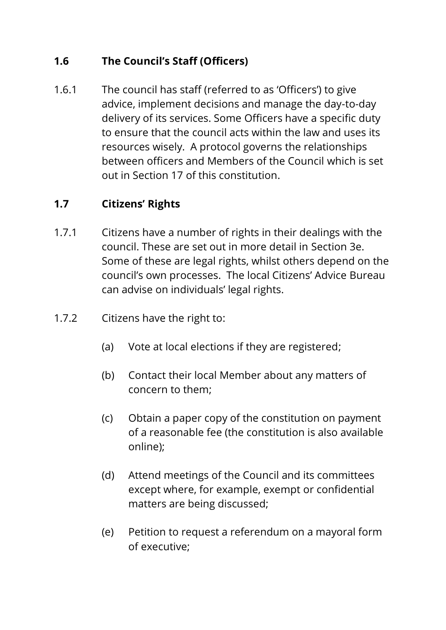## **1.6 The Council's Staff (Officers)**

1.6.1 The council has staff (referred to as 'Officers') to give advice, implement decisions and manage the day-to-day delivery of its services. Some Officers have a specific duty to ensure that the council acts within the law and uses its resources wisely. A protocol governs the relationships between officers and Members of the Council which is set out in Section 17 of this constitution.

### **1.7 Citizens' Rights**

- 1.7.1 Citizens have a number of rights in their dealings with the council. These are set out in more detail in Section 3e. Some of these are legal rights, whilst others depend on the council's own processes. The local Citizens' Advice Bureau can advise on individuals' legal rights.
- 1.7.2 Citizens have the right to:
	- (a) Vote at local elections if they are registered;
	- (b) Contact their local Member about any matters of concern to them;
	- (c) Obtain a paper copy of the constitution on payment of a reasonable fee (the constitution is also available online);
	- (d) Attend meetings of the Council and its committees except where, for example, exempt or confidential matters are being discussed;
	- (e) Petition to request a referendum on a mayoral form of executive;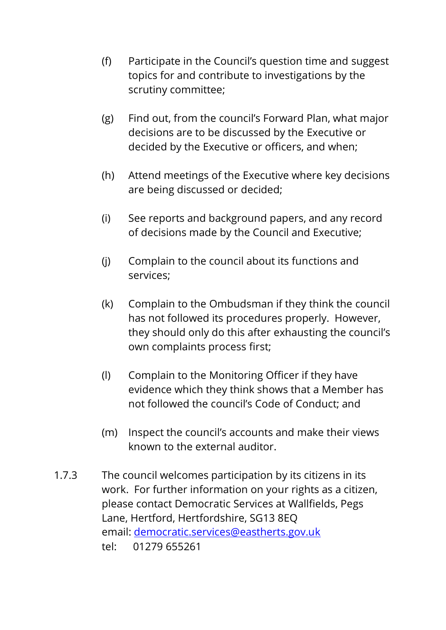- (f) Participate in the Council's question time and suggest topics for and contribute to investigations by the scrutiny committee;
- (g) Find out, from the council's Forward Plan, what major decisions are to be discussed by the Executive or decided by the Executive or officers, and when;
- (h) Attend meetings of the Executive where key decisions are being discussed or decided;
- (i) See reports and background papers, and any record of decisions made by the Council and Executive;
- (j) Complain to the council about its functions and services;
- (k) Complain to the Ombudsman if they think the council has not followed its procedures properly. However, they should only do this after exhausting the council's own complaints process first;
- (l) Complain to the Monitoring Officer if they have evidence which they think shows that a Member has not followed the council's Code of Conduct; and
- (m) Inspect the council's accounts and make their views known to the external auditor.
- 1.7.3 The council welcomes participation by its citizens in its work. For further information on your rights as a citizen, please contact Democratic Services at Wallfields, Pegs Lane, Hertford, Hertfordshire, SG13 8EQ email: [democratic.services@eastherts.gov.uk](mailto:democratic.services@eastherts.gov.uk) tel: 01279 655261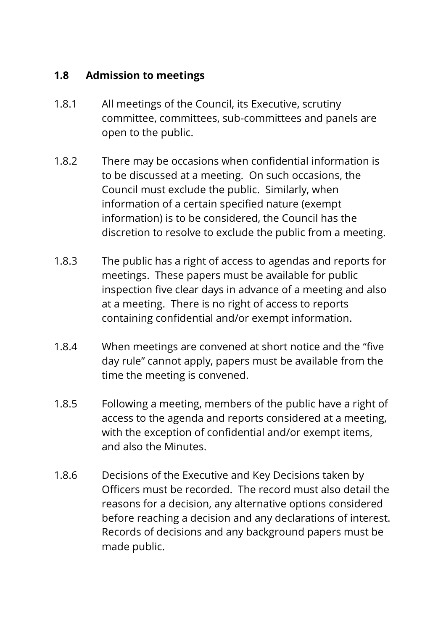#### **1.8 Admission to meetings**

- 1.8.1 All meetings of the Council, its Executive, scrutiny committee, committees, sub-committees and panels are open to the public.
- 1.8.2 There may be occasions when confidential information is to be discussed at a meeting. On such occasions, the Council must exclude the public. Similarly, when information of a certain specified nature (exempt information) is to be considered, the Council has the discretion to resolve to exclude the public from a meeting.
- 1.8.3 The public has a right of access to agendas and reports for meetings. These papers must be available for public inspection five clear days in advance of a meeting and also at a meeting. There is no right of access to reports containing confidential and/or exempt information.
- 1.8.4 When meetings are convened at short notice and the "five day rule" cannot apply, papers must be available from the time the meeting is convened.
- 1.8.5 Following a meeting, members of the public have a right of access to the agenda and reports considered at a meeting, with the exception of confidential and/or exempt items, and also the Minutes.
- 1.8.6 Decisions of the Executive and Key Decisions taken by Officers must be recorded. The record must also detail the reasons for a decision, any alternative options considered before reaching a decision and any declarations of interest. Records of decisions and any background papers must be made public.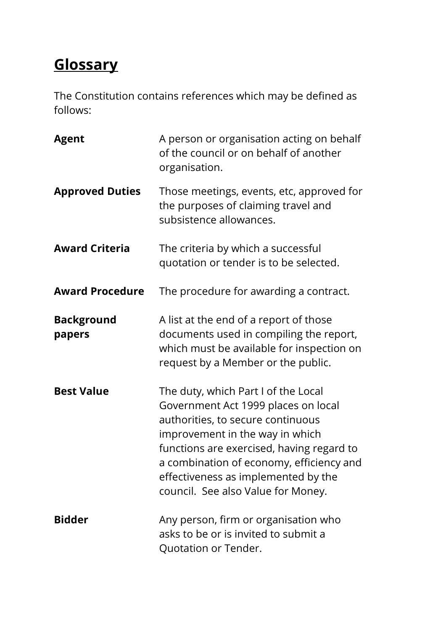# **Glossary**

The Constitution contains references which may be defined as follows:

| <b>Agent</b>                | A person or organisation acting on behalf<br>of the council or on behalf of another<br>organisation.                                                                                                                                                                                                                     |
|-----------------------------|--------------------------------------------------------------------------------------------------------------------------------------------------------------------------------------------------------------------------------------------------------------------------------------------------------------------------|
| <b>Approved Duties</b>      | Those meetings, events, etc, approved for<br>the purposes of claiming travel and<br>subsistence allowances.                                                                                                                                                                                                              |
| <b>Award Criteria</b>       | The criteria by which a successful<br>quotation or tender is to be selected.                                                                                                                                                                                                                                             |
| <b>Award Procedure</b>      | The procedure for awarding a contract.                                                                                                                                                                                                                                                                                   |
| <b>Background</b><br>papers | A list at the end of a report of those<br>documents used in compiling the report,<br>which must be available for inspection on<br>request by a Member or the public.                                                                                                                                                     |
| <b>Best Value</b>           | The duty, which Part I of the Local<br>Government Act 1999 places on local<br>authorities, to secure continuous<br>improvement in the way in which<br>functions are exercised, having regard to<br>a combination of economy, efficiency and<br>effectiveness as implemented by the<br>council. See also Value for Money. |
| <b>Bidder</b>               | Any person, firm or organisation who<br>asks to be or is invited to submit a<br>Quotation or Tender.                                                                                                                                                                                                                     |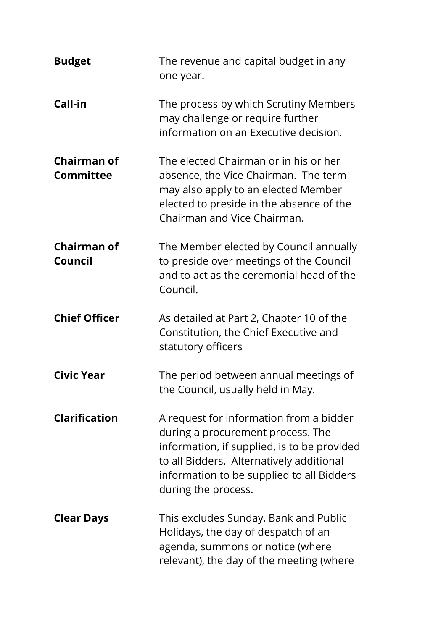| <b>Budget</b>                          | The revenue and capital budget in any<br>one year.                                                                                                                                                                                          |
|----------------------------------------|---------------------------------------------------------------------------------------------------------------------------------------------------------------------------------------------------------------------------------------------|
| Call-in                                | The process by which Scrutiny Members<br>may challenge or require further<br>information on an Executive decision.                                                                                                                          |
| <b>Chairman of</b><br><b>Committee</b> | The elected Chairman or in his or her<br>absence, the Vice Chairman. The term<br>may also apply to an elected Member<br>elected to preside in the absence of the<br>Chairman and Vice Chairman.                                             |
| <b>Chairman of</b><br>Council          | The Member elected by Council annually<br>to preside over meetings of the Council<br>and to act as the ceremonial head of the<br>Council.                                                                                                   |
| <b>Chief Officer</b>                   | As detailed at Part 2, Chapter 10 of the<br>Constitution, the Chief Executive and<br>statutory officers                                                                                                                                     |
| <b>Civic Year</b>                      | The period between annual meetings of<br>the Council, usually held in May.                                                                                                                                                                  |
| <b>Clarification</b>                   | A request for information from a bidder<br>during a procurement process. The<br>information, if supplied, is to be provided<br>to all Bidders. Alternatively additional<br>information to be supplied to all Bidders<br>during the process. |
| <b>Clear Days</b>                      | This excludes Sunday, Bank and Public<br>Holidays, the day of despatch of an<br>agenda, summons or notice (where<br>relevant), the day of the meeting (where                                                                                |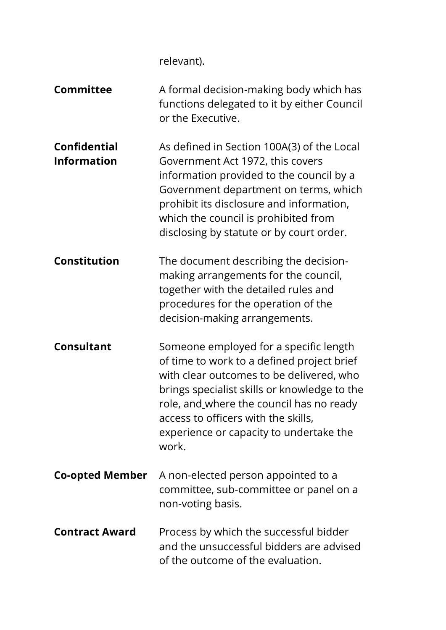relevant).

| <b>Committee</b>                          | A formal decision-making body which has<br>functions delegated to it by either Council<br>or the Executive.                                                                                                                                                                                                             |
|-------------------------------------------|-------------------------------------------------------------------------------------------------------------------------------------------------------------------------------------------------------------------------------------------------------------------------------------------------------------------------|
| <b>Confidential</b><br><b>Information</b> | As defined in Section 100A(3) of the Local<br>Government Act 1972, this covers<br>information provided to the council by a<br>Government department on terms, which<br>prohibit its disclosure and information,<br>which the council is prohibited from<br>disclosing by statute or by court order.                     |
| <b>Constitution</b>                       | The document describing the decision-<br>making arrangements for the council,<br>together with the detailed rules and<br>procedures for the operation of the<br>decision-making arrangements.                                                                                                                           |
| <b>Consultant</b>                         | Someone employed for a specific length<br>of time to work to a defined project brief<br>with clear outcomes to be delivered, who<br>brings specialist skills or knowledge to the<br>role, and where the council has no ready<br>access to officers with the skills,<br>experience or capacity to undertake the<br>work. |
| <b>Co-opted Member</b>                    | A non-elected person appointed to a<br>committee, sub-committee or panel on a<br>non-voting basis.                                                                                                                                                                                                                      |
| <b>Contract Award</b>                     | Process by which the successful bidder<br>and the unsuccessful bidders are advised<br>of the outcome of the evaluation.                                                                                                                                                                                                 |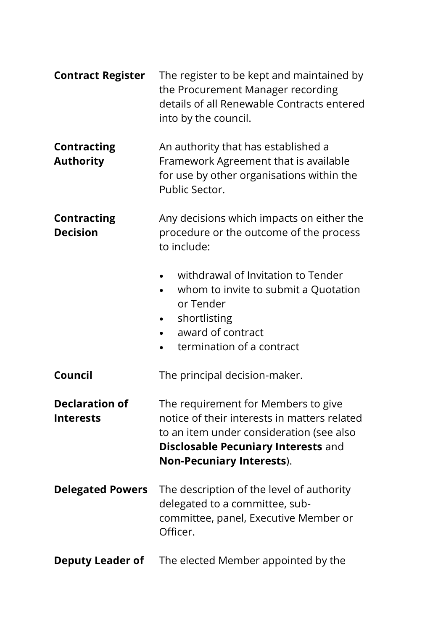| <b>Contract Register</b>                  | The register to be kept and maintained by<br>the Procurement Manager recording<br>details of all Renewable Contracts entered<br>into by the council.                                                              |
|-------------------------------------------|-------------------------------------------------------------------------------------------------------------------------------------------------------------------------------------------------------------------|
| <b>Contracting</b><br><b>Authority</b>    | An authority that has established a<br>Framework Agreement that is available<br>for use by other organisations within the<br>Public Sector.                                                                       |
| <b>Contracting</b><br><b>Decision</b>     | Any decisions which impacts on either the<br>procedure or the outcome of the process<br>to include:                                                                                                               |
|                                           | withdrawal of Invitation to Tender<br>whom to invite to submit a Quotation<br>or Tender<br>shortlisting<br>award of contract<br>termination of a contract                                                         |
| Council                                   | The principal decision-maker.                                                                                                                                                                                     |
| <b>Declaration of</b><br><b>Interests</b> | The requirement for Members to give<br>notice of their interests in matters related<br>to an item under consideration (see also<br><b>Disclosable Pecuniary Interests and</b><br><b>Non-Pecuniary Interests).</b> |
| <b>Delegated Powers</b>                   | The description of the level of authority<br>delegated to a committee, sub-<br>committee, panel, Executive Member or<br>Officer.                                                                                  |
| <b>Deputy Leader of</b>                   | The elected Member appointed by the                                                                                                                                                                               |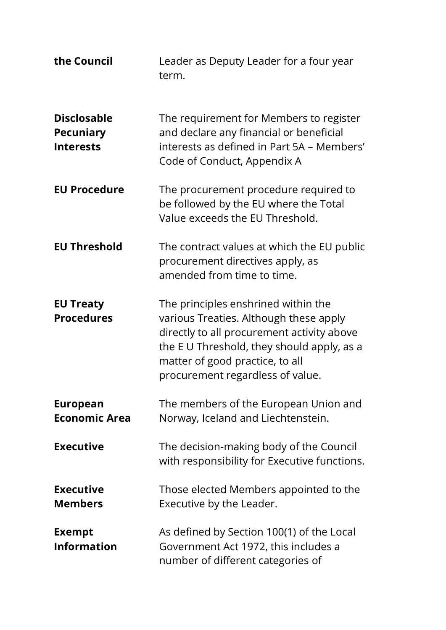| the Council                                                | Leader as Deputy Leader for a four year<br>term.                                                                                                                                                                                                |
|------------------------------------------------------------|-------------------------------------------------------------------------------------------------------------------------------------------------------------------------------------------------------------------------------------------------|
| <b>Disclosable</b><br><b>Pecuniary</b><br><b>Interests</b> | The requirement for Members to register<br>and declare any financial or beneficial<br>interests as defined in Part 5A - Members'<br>Code of Conduct, Appendix A                                                                                 |
| <b>EU Procedure</b>                                        | The procurement procedure required to<br>be followed by the EU where the Total<br>Value exceeds the EU Threshold.                                                                                                                               |
| <b>EU Threshold</b>                                        | The contract values at which the EU public<br>procurement directives apply, as<br>amended from time to time.                                                                                                                                    |
| <b>EU Treaty</b><br><b>Procedures</b>                      | The principles enshrined within the<br>various Treaties. Although these apply<br>directly to all procurement activity above<br>the EU Threshold, they should apply, as a<br>matter of good practice, to all<br>procurement regardless of value. |
| <b>European</b><br><b>Economic Area</b>                    | The members of the European Union and<br>Norway, Iceland and Liechtenstein.                                                                                                                                                                     |
| <b>Executive</b>                                           | The decision-making body of the Council<br>with responsibility for Executive functions.                                                                                                                                                         |
| <b>Executive</b><br><b>Members</b>                         | Those elected Members appointed to the<br>Executive by the Leader.                                                                                                                                                                              |
| <b>Exempt</b><br><b>Information</b>                        | As defined by Section 100(1) of the Local<br>Government Act 1972, this includes a<br>number of different categories of                                                                                                                          |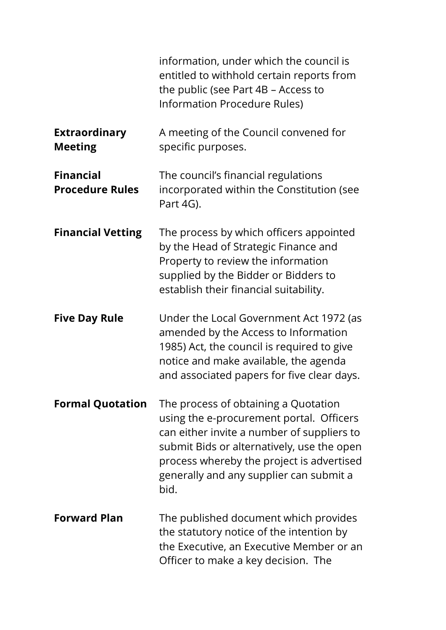|                                            | information, under which the council is<br>entitled to withhold certain reports from<br>the public (see Part 4B – Access to<br>Information Procedure Rules)                                                                                                                  |
|--------------------------------------------|------------------------------------------------------------------------------------------------------------------------------------------------------------------------------------------------------------------------------------------------------------------------------|
| <b>Extraordinary</b><br><b>Meeting</b>     | A meeting of the Council convened for<br>specific purposes.                                                                                                                                                                                                                  |
| <b>Financial</b><br><b>Procedure Rules</b> | The council's financial regulations<br>incorporated within the Constitution (see<br>Part 4G).                                                                                                                                                                                |
| <b>Financial Vetting</b>                   | The process by which officers appointed<br>by the Head of Strategic Finance and<br>Property to review the information<br>supplied by the Bidder or Bidders to<br>establish their financial suitability.                                                                      |
| <b>Five Day Rule</b>                       | Under the Local Government Act 1972 (as<br>amended by the Access to Information<br>1985) Act, the council is required to give<br>notice and make available, the agenda<br>and associated papers for five clear days.                                                         |
| <b>Formal Quotation</b>                    | The process of obtaining a Quotation<br>using the e-procurement portal. Officers<br>can either invite a number of suppliers to<br>submit Bids or alternatively, use the open<br>process whereby the project is advertised<br>generally and any supplier can submit a<br>bid. |
| <b>Forward Plan</b>                        | The published document which provides<br>the statutory notice of the intention by<br>the Executive, an Executive Member or an<br>Officer to make a key decision. The                                                                                                         |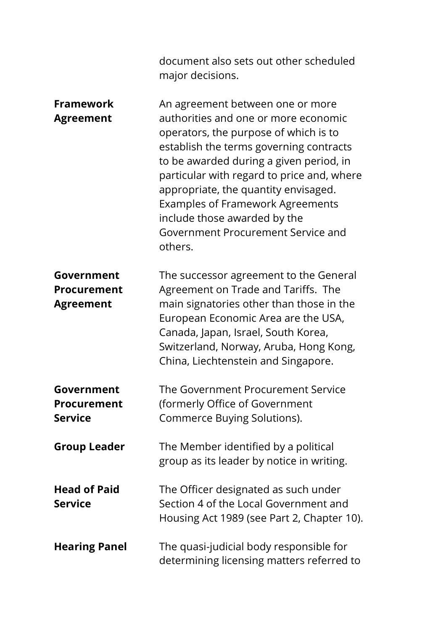|                                                      | document also sets out other scheduled<br>major decisions.                                                                                                                                                                                                                                                                                                                                                                |
|------------------------------------------------------|---------------------------------------------------------------------------------------------------------------------------------------------------------------------------------------------------------------------------------------------------------------------------------------------------------------------------------------------------------------------------------------------------------------------------|
| <b>Framework</b><br><b>Agreement</b>                 | An agreement between one or more<br>authorities and one or more economic<br>operators, the purpose of which is to<br>establish the terms governing contracts<br>to be awarded during a given period, in<br>particular with regard to price and, where<br>appropriate, the quantity envisaged.<br><b>Examples of Framework Agreements</b><br>include those awarded by the<br>Government Procurement Service and<br>others. |
| Government<br><b>Procurement</b><br><b>Agreement</b> | The successor agreement to the General<br>Agreement on Trade and Tariffs. The<br>main signatories other than those in the<br>European Economic Area are the USA,<br>Canada, Japan, Israel, South Korea,<br>Switzerland, Norway, Aruba, Hong Kong,<br>China, Liechtenstein and Singapore.                                                                                                                                  |
| Government<br><b>Procurement</b><br><b>Service</b>   | The Government Procurement Service<br>(formerly Office of Government<br>Commerce Buying Solutions).                                                                                                                                                                                                                                                                                                                       |
| <b>Group Leader</b>                                  | The Member identified by a political<br>group as its leader by notice in writing.                                                                                                                                                                                                                                                                                                                                         |
| <b>Head of Paid</b><br><b>Service</b>                | The Officer designated as such under<br>Section 4 of the Local Government and<br>Housing Act 1989 (see Part 2, Chapter 10).                                                                                                                                                                                                                                                                                               |
| <b>Hearing Panel</b>                                 | The quasi-judicial body responsible for<br>determining licensing matters referred to                                                                                                                                                                                                                                                                                                                                      |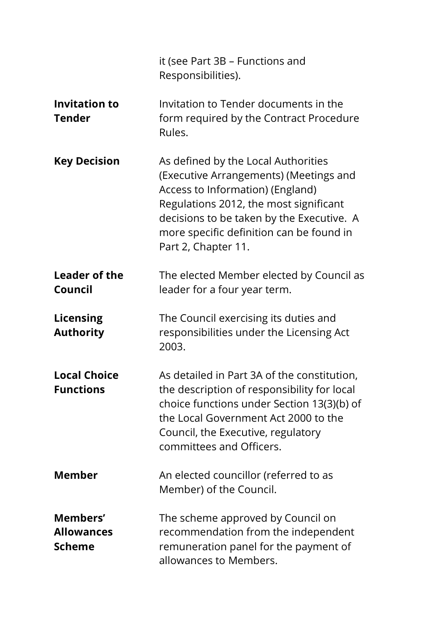|                                                | it (see Part 3B – Functions and<br>Responsibilities).                                                                                                                                                                                                                       |
|------------------------------------------------|-----------------------------------------------------------------------------------------------------------------------------------------------------------------------------------------------------------------------------------------------------------------------------|
| <b>Invitation to</b><br><b>Tender</b>          | Invitation to Tender documents in the<br>form required by the Contract Procedure<br>Rules.                                                                                                                                                                                  |
| <b>Key Decision</b>                            | As defined by the Local Authorities<br>(Executive Arrangements) (Meetings and<br>Access to Information) (England)<br>Regulations 2012, the most significant<br>decisions to be taken by the Executive. A<br>more specific definition can be found in<br>Part 2, Chapter 11. |
| Leader of the<br>Council                       | The elected Member elected by Council as<br>leader for a four year term.                                                                                                                                                                                                    |
| <b>Licensing</b><br><b>Authority</b>           | The Council exercising its duties and<br>responsibilities under the Licensing Act<br>2003.                                                                                                                                                                                  |
| <b>Local Choice</b><br><b>Functions</b>        | As detailed in Part 3A of the constitution,<br>the description of responsibility for local<br>choice functions under Section 13(3)(b) of<br>the Local Government Act 2000 to the<br>Council, the Executive, regulatory<br>committees and Officers.                          |
| <b>Member</b>                                  | An elected councillor (referred to as<br>Member) of the Council.                                                                                                                                                                                                            |
| Members'<br><b>Allowances</b><br><b>Scheme</b> | The scheme approved by Council on<br>recommendation from the independent<br>remuneration panel for the payment of<br>allowances to Members.                                                                                                                                 |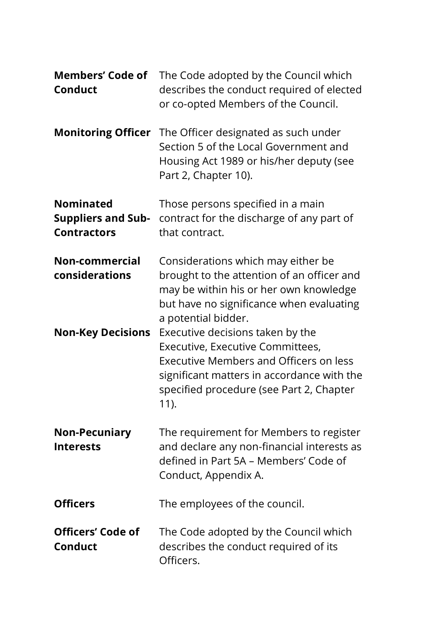| <b>Members' Code of</b><br><b>Conduct</b>                           | The Code adopted by the Council which<br>describes the conduct required of elected<br>or co-opted Members of the Council.                                                                                                  |
|---------------------------------------------------------------------|----------------------------------------------------------------------------------------------------------------------------------------------------------------------------------------------------------------------------|
|                                                                     | <b>Monitoring Officer</b> The Officer designated as such under<br>Section 5 of the Local Government and<br>Housing Act 1989 or his/her deputy (see<br>Part 2, Chapter 10).                                                 |
| <b>Nominated</b><br><b>Suppliers and Sub-</b><br><b>Contractors</b> | Those persons specified in a main<br>contract for the discharge of any part of<br>that contract.                                                                                                                           |
| Non-commercial<br>considerations                                    | Considerations which may either be<br>brought to the attention of an officer and<br>may be within his or her own knowledge<br>but have no significance when evaluating<br>a potential bidder.                              |
| <b>Non-Key Decisions</b>                                            | Executive decisions taken by the<br>Executive, Executive Committees,<br><b>Executive Members and Officers on less</b><br>significant matters in accordance with the<br>specified procedure (see Part 2, Chapter<br>$11$ ). |
| <b>Non-Pecuniary</b><br><b>Interests</b>                            | The requirement for Members to register<br>and declare any non-financial interests as<br>defined in Part 5A - Members' Code of<br>Conduct, Appendix A.                                                                     |
| <b>Officers</b>                                                     | The employees of the council.                                                                                                                                                                                              |
| <b>Officers' Code of</b><br><b>Conduct</b>                          | The Code adopted by the Council which<br>describes the conduct required of its<br>Officers.                                                                                                                                |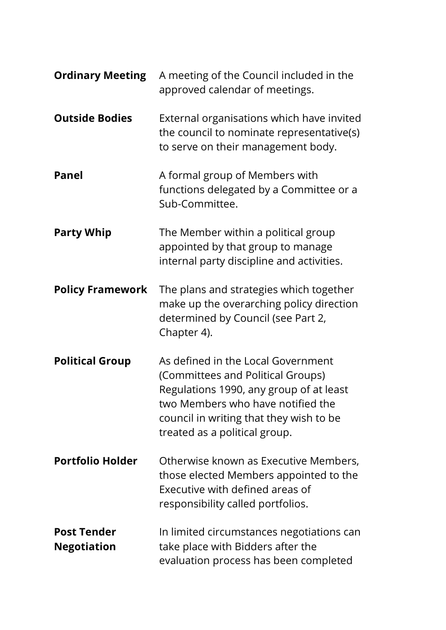| <b>Ordinary Meeting</b>                  | A meeting of the Council included in the<br>approved calendar of meetings.                                                                                                                                                          |
|------------------------------------------|-------------------------------------------------------------------------------------------------------------------------------------------------------------------------------------------------------------------------------------|
| <b>Outside Bodies</b>                    | External organisations which have invited<br>the council to nominate representative(s)<br>to serve on their management body.                                                                                                        |
| <b>Panel</b>                             | A formal group of Members with<br>functions delegated by a Committee or a<br>Sub-Committee.                                                                                                                                         |
| <b>Party Whip</b>                        | The Member within a political group<br>appointed by that group to manage<br>internal party discipline and activities.                                                                                                               |
| <b>Policy Framework</b>                  | The plans and strategies which together<br>make up the overarching policy direction<br>determined by Council (see Part 2,<br>Chapter 4).                                                                                            |
| <b>Political Group</b>                   | As defined in the Local Government<br>(Committees and Political Groups)<br>Regulations 1990, any group of at least<br>two Members who have notified the<br>council in writing that they wish to be<br>treated as a political group. |
| <b>Portfolio Holder</b>                  | Otherwise known as Executive Members,<br>those elected Members appointed to the<br>Executive with defined areas of<br>responsibility called portfolios.                                                                             |
| <b>Post Tender</b><br><b>Negotiation</b> | In limited circumstances negotiations can<br>take place with Bidders after the<br>evaluation process has been completed                                                                                                             |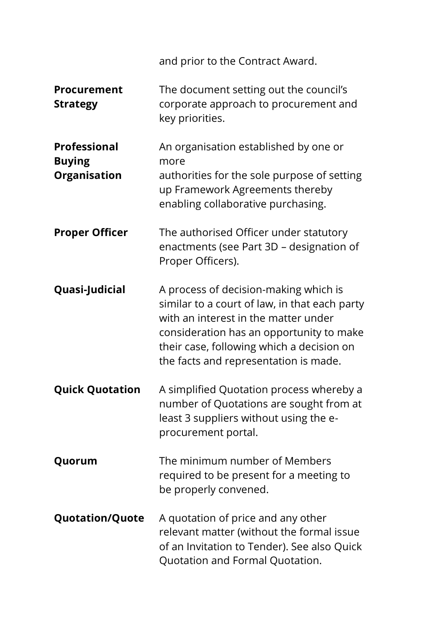|                                                             | and prior to the Contract Award.                                                                                                                                                                                                                                 |
|-------------------------------------------------------------|------------------------------------------------------------------------------------------------------------------------------------------------------------------------------------------------------------------------------------------------------------------|
| <b>Procurement</b><br><b>Strategy</b>                       | The document setting out the council's<br>corporate approach to procurement and<br>key priorities.                                                                                                                                                               |
| <b>Professional</b><br><b>Buying</b><br><b>Organisation</b> | An organisation established by one or<br>more<br>authorities for the sole purpose of setting<br>up Framework Agreements thereby<br>enabling collaborative purchasing.                                                                                            |
| <b>Proper Officer</b>                                       | The authorised Officer under statutory<br>enactments (see Part 3D - designation of<br>Proper Officers).                                                                                                                                                          |
| <b>Quasi-Judicial</b>                                       | A process of decision-making which is<br>similar to a court of law, in that each party<br>with an interest in the matter under<br>consideration has an opportunity to make<br>their case, following which a decision on<br>the facts and representation is made. |
| <b>Quick Quotation</b>                                      | A simplified Quotation process whereby a<br>number of Quotations are sought from at<br>least 3 suppliers without using the e-<br>procurement portal.                                                                                                             |
| Quorum                                                      | The minimum number of Members<br>required to be present for a meeting to<br>be properly convened.                                                                                                                                                                |
| <b>Quotation/Quote</b>                                      | A quotation of price and any other<br>relevant matter (without the formal issue<br>of an Invitation to Tender). See also Quick<br>Quotation and Formal Quotation.                                                                                                |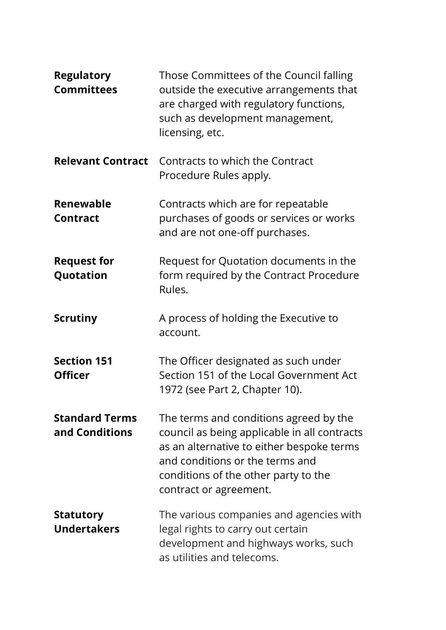| <b>Regulatory</b><br><b>Committees</b>  | Those Committees of the Council falling<br>outside the executive arrangements that<br>are charged with regulatory functions,<br>such as development management,<br>licensing, etc.                                                       |
|-----------------------------------------|------------------------------------------------------------------------------------------------------------------------------------------------------------------------------------------------------------------------------------------|
| <b>Relevant Contract</b>                | Contracts to which the Contract<br>Procedure Rules apply.                                                                                                                                                                                |
| Renewable<br><b>Contract</b>            | Contracts which are for repeatable<br>purchases of goods or services or works<br>and are not one-off purchases.                                                                                                                          |
| <b>Request for</b><br>Quotation         | Request for Quotation documents in the<br>form required by the Contract Procedure<br>Rules.                                                                                                                                              |
| <b>Scrutiny</b>                         | A process of holding the Executive to<br>account.                                                                                                                                                                                        |
| <b>Section 151</b><br><b>Officer</b>    | The Officer designated as such under<br>Section 151 of the Local Government Act<br>1972 (see Part 2, Chapter 10).                                                                                                                        |
| <b>Standard Terms</b><br>and Conditions | The terms and conditions agreed by the<br>council as being applicable in all contracts<br>as an alternative to either bespoke terms<br>and conditions or the terms and<br>conditions of the other party to the<br>contract or agreement. |
| <b>Statutory</b><br><b>Undertakers</b>  | The various companies and agencies with<br>legal rights to carry out certain<br>development and highways works, such<br>as utilities and telecoms.                                                                                       |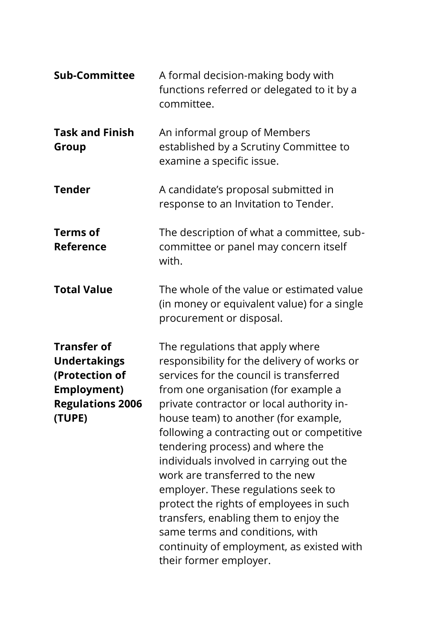| <b>Sub-Committee</b>                                                                                                   | A formal decision-making body with<br>functions referred or delegated to it by a<br>committee.                                                                                                                                                                                                                                                                                                                                                                                                                                                                                                                                                                |
|------------------------------------------------------------------------------------------------------------------------|---------------------------------------------------------------------------------------------------------------------------------------------------------------------------------------------------------------------------------------------------------------------------------------------------------------------------------------------------------------------------------------------------------------------------------------------------------------------------------------------------------------------------------------------------------------------------------------------------------------------------------------------------------------|
| <b>Task and Finish</b><br>Group                                                                                        | An informal group of Members<br>established by a Scrutiny Committee to<br>examine a specific issue.                                                                                                                                                                                                                                                                                                                                                                                                                                                                                                                                                           |
| <b>Tender</b>                                                                                                          | A candidate's proposal submitted in<br>response to an Invitation to Tender.                                                                                                                                                                                                                                                                                                                                                                                                                                                                                                                                                                                   |
| <b>Terms of</b><br>Reference                                                                                           | The description of what a committee, sub-<br>committee or panel may concern itself<br>with.                                                                                                                                                                                                                                                                                                                                                                                                                                                                                                                                                                   |
| <b>Total Value</b>                                                                                                     | The whole of the value or estimated value<br>(in money or equivalent value) for a single<br>procurement or disposal.                                                                                                                                                                                                                                                                                                                                                                                                                                                                                                                                          |
| <b>Transfer of</b><br><b>Undertakings</b><br>(Protection of<br><b>Employment)</b><br><b>Regulations 2006</b><br>(TUPE) | The regulations that apply where<br>responsibility for the delivery of works or<br>services for the council is transferred<br>from one organisation (for example a<br>private contractor or local authority in-<br>house team) to another (for example,<br>following a contracting out or competitive<br>tendering process) and where the<br>individuals involved in carrying out the<br>work are transferred to the new<br>employer. These regulations seek to<br>protect the rights of employees in such<br>transfers, enabling them to enjoy the<br>same terms and conditions, with<br>continuity of employment, as existed with<br>their former employer. |